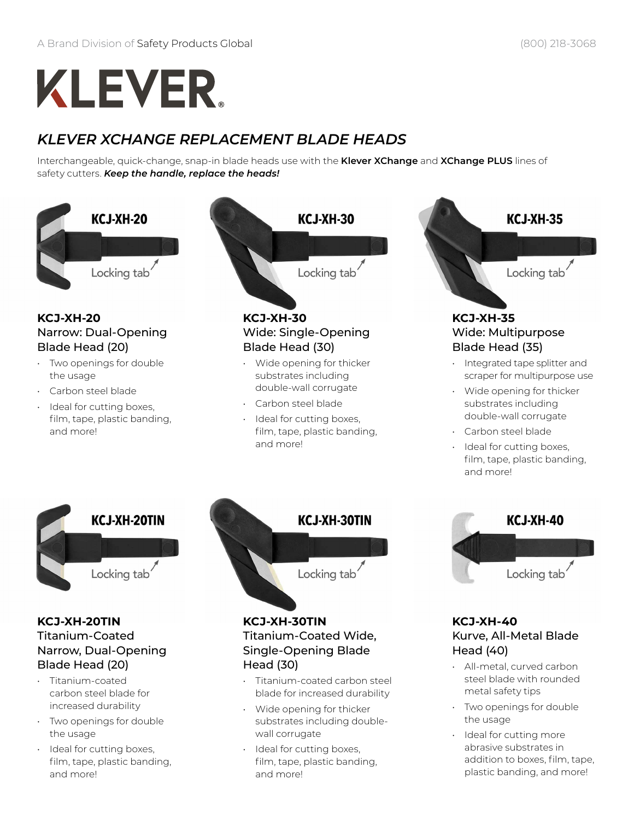# **KLEVER.**

### *KLEVER XCHANGE REPLACEMENT BLADE HEADS*

Interchangeable, quick-change, snap-in blade heads use with the **Klever XChange** and **XChange PLUS** lines of safety cutters. *Keep the handle, replace the heads!*



## Narrow, Dual-Opening Blade Head (20)

- Titanium-coated carbon steel blade for increased durability
- Two openings for double the usage
- Ideal for cutting boxes, film, tape, plastic banding, and more!

Single-Opening Blade Head (30)

- Titanium-coated carbon steel blade for increased durability
- Wide opening for thicker substrates including doublewall corrugate
- Ideal for cutting boxes, film, tape, plastic banding, and more!

Head (40)

- All-metal, curved carbon steel blade with rounded metal safety tips
- Two openings for double the usage
- Ideal for cutting more abrasive substrates in addition to boxes, film, tape, plastic banding, and more!